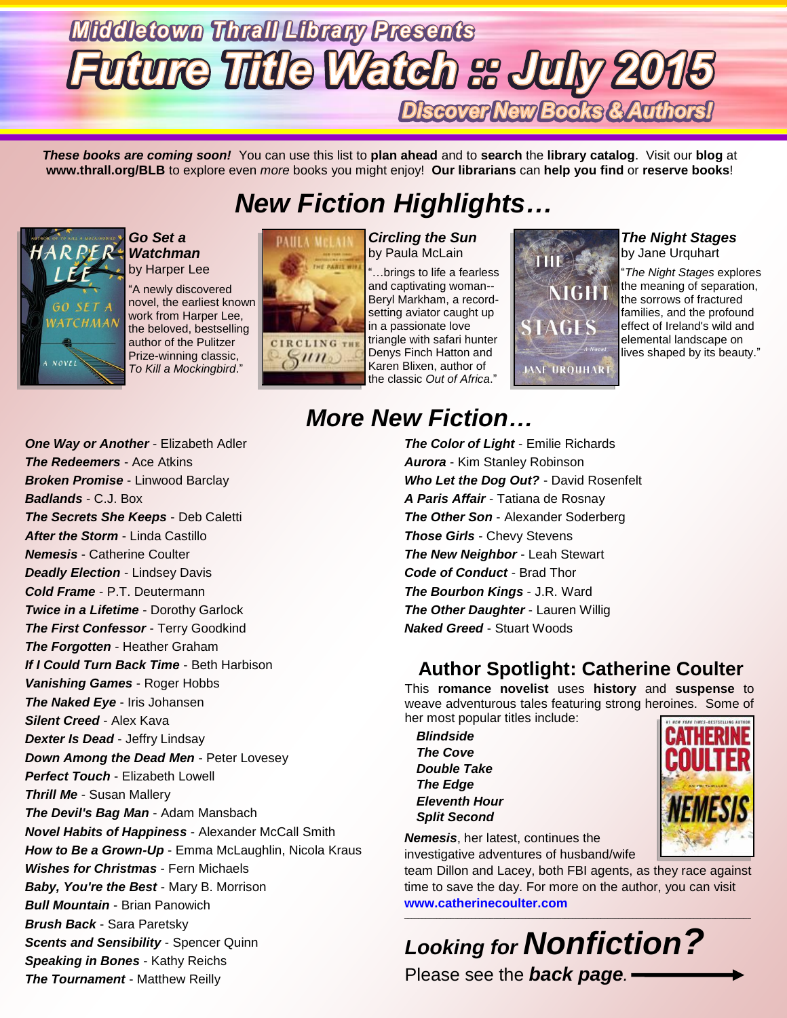## **Middletown Thrall Library Presents Future Title Watch as July 2015** Discover New Books & Authors!

*These books are coming soon!* You can use this list to **plan ahead** and to **search** the **library catalog**. Visit our **blog** at **www.thrall.org/BLB** to explore even *more* books you might enjoy! **Our librarians** can **help you find** or **reserve books**!

## *New Fiction Highlights…*



### *Go Set a Watchman* by Harper Lee

"A newly discovered novel, the earliest known work from Harper Lee, the beloved, bestselling author of the Pulitzer Prize-winning classic, *To Kill a Mockingbird*."



*Circling the Sun* by Paula McLain

"…brings to life a fearless and captivating woman-- Beryl Markham, a recordsetting aviator caught up in a passionate love triangle with safari hunter Denys Finch Hatton and Karen Blixen, author of the classic *Out of Africa*."



#### *The Night Stages* by Jane Urquhart

"*The Night Stages* explores the meaning of separation, the sorrows of fractured families, and the profound effect of Ireland's wild and elemental landscape on lives shaped by its beauty."

## *More New Fiction…*

*The Color of Light* - Emilie Richards *Aurora* - Kim Stanley Robinson *Who Let the Dog Out?* - David Rosenfelt *A Paris Affair* - Tatiana de Rosnay **The Other Son - Alexander Soderberg** *Those Girls* - Chevy Stevens *The New Neighbor* - Leah Stewart *Code of Conduct* - Brad Thor *The Bourbon Kings* - J.R. Ward *The Other Daughter - Lauren Willig Naked Greed* - Stuart Woods

### **Author Spotlight: Catherine Coulter**

This **romance novelist** uses **history** and **suspense** to weave adventurous tales featuring strong heroines. Some of her most popular titles include:

*Blindside The Cove Double Take The Edge Eleventh Hour Split Second*



*Nemesis*, her latest, continues the investigative adventures of husband/wife

team Dillon and Lacey, both FBI agents, as they race against time to save the day. For more on the author, you can visit **[www.catherinecoulter.com](http://www.catherinecoulter.com/)**



*One Way or Another* - Elizabeth Adler *The Redeemers* - Ace Atkins *Broken Promise* - Linwood Barclay *Badlands* - C.J. Box *The Secrets She Keeps* - Deb Caletti *After the Storm* - Linda Castillo *Nemesis* - Catherine Coulter *Deadly Election - Lindsey Davis Cold Frame* - P.T. Deutermann *Twice in a Lifetime* - Dorothy Garlock *The First Confessor* - Terry Goodkind *The Forgotten* - Heather Graham *If I Could Turn Back Time* - Beth Harbison *Vanishing Games* - Roger Hobbs *The Naked Eye* - Iris Johansen *Silent Creed* - Alex Kava *Dexter Is Dead* - Jeffry Lindsay *Down Among the Dead Men - Peter Lovesey Perfect Touch* - Elizabeth Lowell *Thrill Me* - Susan Mallery *The Devil's Bag Man* - Adam Mansbach *Novel Habits of Happiness* - Alexander McCall Smith **How to Be a Grown-Up** - Emma McLaughlin, Nicola Kraus *Wishes for Christmas* - Fern Michaels *Baby, You're the Best* - Mary B. Morrison *Bull Mountain* - Brian Panowich *Brush Back* - Sara Paretsky *Scents and Sensibility* - Spencer Quinn *Speaking in Bones* - Kathy Reichs

*The Tournament* - Matthew Reilly